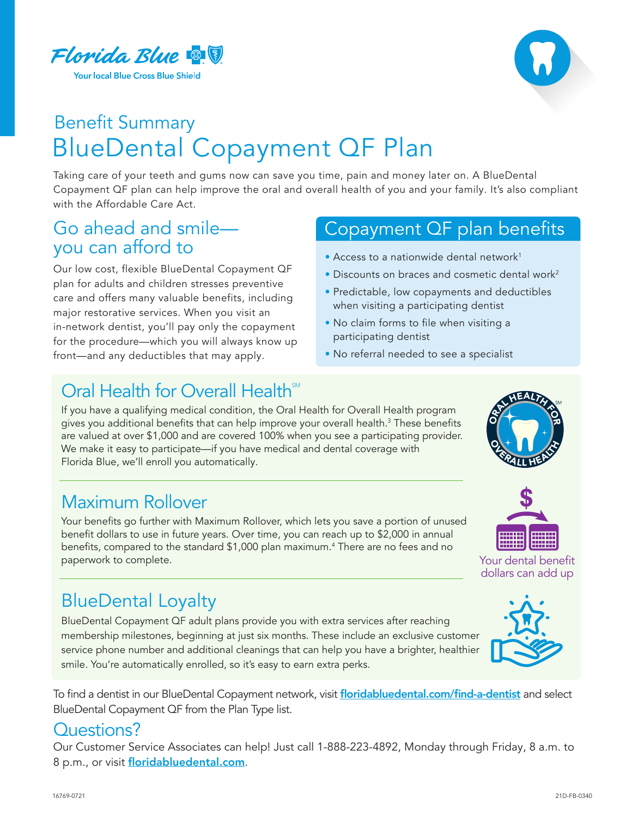



## Benefit Summary BlueDental Copayment QF Plan

Taking care of your teeth and gums now can save you time, pain and money later on. A BlueDental Copayment QF plan can help improve the oral and overall health of you and your family. It's also compliant with the Affordable Care Act.

# Go ahead and smile-<br>you can afford to

Our low cost, flexible BlueDental Copayment QF plan for adults and children stresses preventive care and offers many valuable benefits, including major restorative services. When you visit an in-network dentist, you'll pay only the copayment for the procedure—which you will always know up front—and any deductibles that may apply.

### Copayment QF plan benefits

- Access to a nationwide dental network<sup>1</sup>
- Discounts on braces and cosmetic dental work<sup>2</sup>
- Predictable, low copayments and deductibles when visiting a participating dentist
- No claim forms to file when visiting a participating dentist
- No referral needed to see a specialist

### Oral Health for Overall Health

 If you have a qualifying medical condition, the Oral Health for Overall Health program gives you additional benefits that can help improve your overall health.<sup>3</sup> These benefits are valued at over \$1,000 and are covered 100% when you see a participating provider. We make it easy to participate—if you have medical and dental coverage with Florida Blue, we'll enroll you automatically.

### Maximum Rollover

Your benefits go further with Maximum Rollover, which lets you save a portion of unused benefit dollars to use in future years. Over time, you can reach up to \$2,000 in annual benefits, compared to the standard \$1,000 plan maximum.<sup>4</sup> There are no fees and no paperwork to complete.

### BlueDental Loyalty

BlueDental Copayment QF adult plans provide you with extra services after reaching membership milestones, beginning at just six months. These include an exclusive customer service phone number and additional cleanings that can help you have a brighter, healthier smile. You're automatically enrolled, so it's easy to earn extra perks.

To find a dentist in our BlueDental Copayment network, visit [floridabluedental.com/find-a-dentist](http://floridabluedental.com/find-a-dentist) and select BlueDental Copayment QF from the Plan Type list.

#### Questions?

Our Customer Service Associates can help! Just call 1-888-223-4892, Monday through Friday, 8 a.m. to 8 p.m., or visit [floridabluedental.com](http://floridabluedental.com).





Your dental benefit dollars can add up

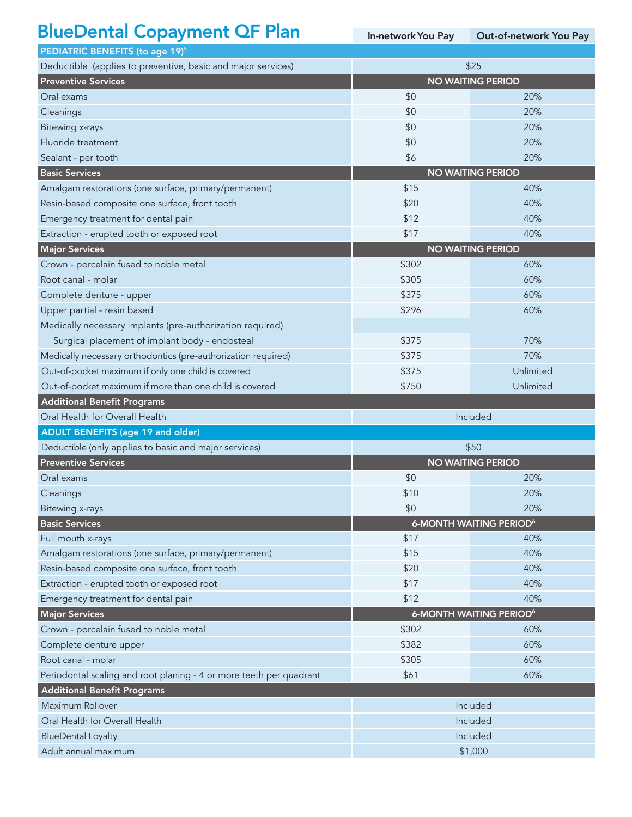### BlueDental Copayment QF Plan

In-networkYou Pay Out-of-network You Pay

| PEDIATRIC BENEFITS (to age 19) <sup>5</sup>                         |                          |                                           |
|---------------------------------------------------------------------|--------------------------|-------------------------------------------|
| Deductible (applies to preventive, basic and major services)        | \$25                     |                                           |
| <b>Preventive Services</b>                                          | <b>NO WAITING PERIOD</b> |                                           |
| Oral exams                                                          | \$0                      | 20%                                       |
| Cleanings                                                           | \$0                      | 20%                                       |
| <b>Bitewing x-rays</b>                                              | \$0                      | 20%                                       |
| Fluoride treatment                                                  | \$0                      | 20%                                       |
| Sealant - per tooth                                                 | \$6                      | 20%                                       |
| <b>Basic Services</b>                                               | <b>NO WAITING PERIOD</b> |                                           |
| Amalgam restorations (one surface, primary/permanent)               | \$15                     | 40%                                       |
| Resin-based composite one surface, front tooth                      | \$20                     | 40%                                       |
| Emergency treatment for dental pain                                 | \$12                     | 40%                                       |
| Extraction - erupted tooth or exposed root                          | \$17                     | 40%                                       |
| <b>Major Services</b>                                               | <b>NO WAITING PERIOD</b> |                                           |
| Crown - porcelain fused to noble metal                              | \$302                    | 60%                                       |
| Root canal - molar                                                  | \$305                    | 60%                                       |
| Complete denture - upper                                            | \$375                    | 60%                                       |
| Upper partial - resin based                                         | \$296                    | 60%                                       |
| Medically necessary implants (pre-authorization required)           |                          |                                           |
| Surgical placement of implant body - endosteal                      | \$375                    | 70%                                       |
| Medically necessary orthodontics (pre-authorization required)       | \$375                    | 70%                                       |
| Out-of-pocket maximum if only one child is covered                  | \$375                    | Unlimited                                 |
| Out-of-pocket maximum if more than one child is covered             | \$750                    | Unlimited                                 |
|                                                                     |                          |                                           |
| <b>Additional Benefit Programs</b>                                  |                          |                                           |
| Oral Health for Overall Health                                      |                          | Included                                  |
| <b>ADULT BENEFITS (age 19 and older)</b>                            |                          |                                           |
| Deductible (only applies to basic and major services)               |                          | \$50                                      |
| <b>Preventive Services</b>                                          |                          | <b>NO WAITING PERIOD</b>                  |
| Oral exams                                                          | \$0                      | 20%                                       |
| Cleanings                                                           | \$10                     | 20%                                       |
| <b>Bitewing x-rays</b>                                              | \$0                      | 20%                                       |
| <b>Basic Services</b>                                               |                          | <b>6-MONTH WAITING PERIOD<sup>6</sup></b> |
| Full mouth x-rays                                                   | \$17                     | 40%                                       |
| Amalgam restorations (one surface, primary/permanent)               | \$15                     | 40%                                       |
| Resin-based composite one surface, front tooth                      | \$20                     | 40%                                       |
| Extraction - erupted tooth or exposed root                          | \$17                     | 40%                                       |
| Emergency treatment for dental pain                                 | \$12                     | 40%                                       |
| <b>Major Services</b>                                               |                          | <b>6-MONTH WAITING PERIOD<sup>6</sup></b> |
| Crown - porcelain fused to noble metal                              | \$302                    | 60%                                       |
| Complete denture upper                                              | \$382                    | 60%                                       |
| Root canal - molar                                                  | \$305                    | 60%                                       |
| Periodontal scaling and root planing - 4 or more teeth per quadrant | \$61                     | 60%                                       |
| <b>Additional Benefit Programs</b>                                  |                          |                                           |
| Maximum Rollover                                                    |                          | Included                                  |
| Oral Health for Overall Health                                      |                          | Included                                  |
| <b>BlueDental Loyalty</b><br>Adult annual maximum                   |                          | Included<br>\$1,000                       |